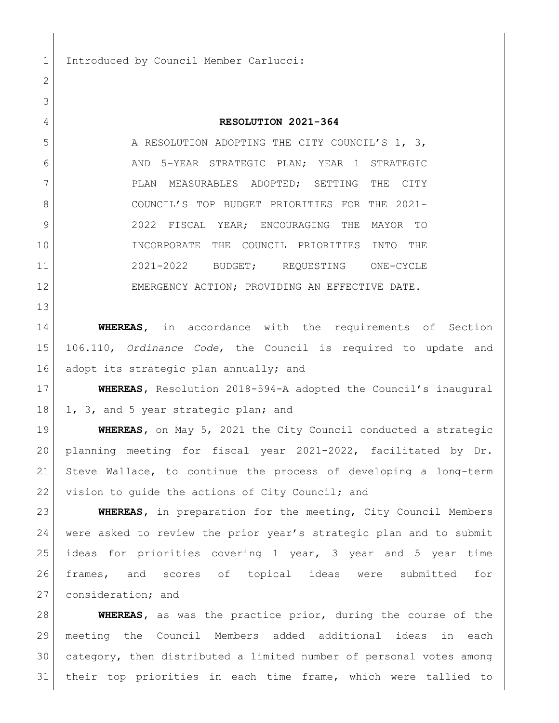1 Introduced by Council Member Carlucci:

## **RESOLUTION 2021-364**

5 A RESOLUTION ADOPTING THE CITY COUNCIL'S 1, 3, AND 5-YEAR STRATEGIC PLAN; YEAR 1 STRATEGIC PLAN MEASURABLES ADOPTED; SETTING THE CITY COUNCIL'S TOP BUDGET PRIORITIES FOR THE 2021- 9 2022 FISCAL YEAR; ENCOURAGING THE MAYOR TO INCORPORATE THE COUNCIL PRIORITIES INTO THE 2021-2022 BUDGET; REQUESTING ONE-CYCLE 12 EMERGENCY ACTION; PROVIDING AN EFFECTIVE DATE.

**WHEREAS,** in accordance with the requirements of Section 106.110, *Ordinance Code*, the Council is required to update and 16 | adopt its strategic plan annually; and

 **WHEREAS,** Resolution 2018-594-A adopted the Council's inaugural 18 1, 3, and 5 year strategic plan; and

 **WHEREAS,** on May 5, 2021 the City Council conducted a strategic planning meeting for fiscal year 2021-2022, facilitated by Dr. Steve Wallace, to continue the process of developing a long-term 22 vision to guide the actions of City Council; and

 **WHEREAS,** in preparation for the meeting, City Council Members were asked to review the prior year's strategic plan and to submit ideas for priorities covering 1 year, 3 year and 5 year time frames, and scores of topical ideas were submitted for 27 consideration; and

 **WHEREAS,** as was the practice prior, during the course of the meeting the Council Members added additional ideas in each category, then distributed a limited number of personal votes among their top priorities in each time frame, which were tallied to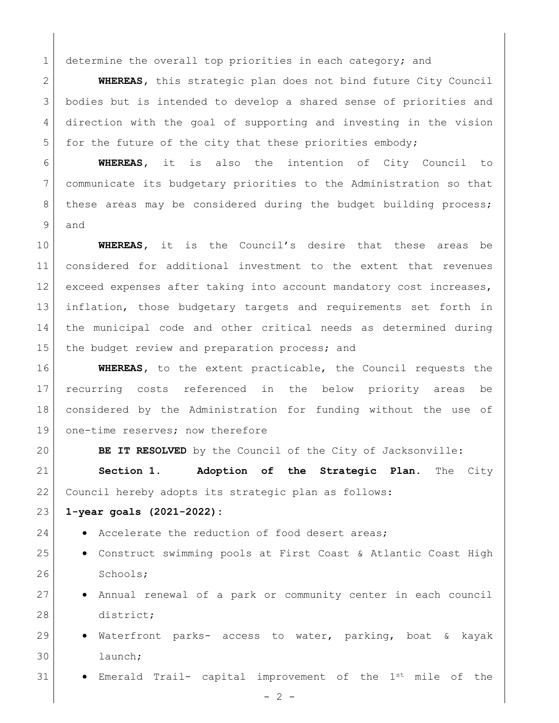determine the overall top priorities in each category; and

 **WHEREAS,** this strategic plan does not bind future City Council bodies but is intended to develop a shared sense of priorities and direction with the goal of supporting and investing in the vision 5 for the future of the city that these priorities embody;

 **WHEREAS,** it is also the intention of City Council to communicate its budgetary priorities to the Administration so that 8 | these areas may be considered during the budget building process; and

 **WHEREAS,** it is the Council's desire that these areas be considered for additional investment to the extent that revenues 12 exceed expenses after taking into account mandatory cost increases, inflation, those budgetary targets and requirements set forth in the municipal code and other critical needs as determined during 15 the budget review and preparation process; and

 **WHEREAS,** to the extent practicable, the Council requests the recurring costs referenced in the below priority areas be considered by the Administration for funding without the use of 19 one-time reserves; now therefore

**BE IT RESOLVED** by the Council of the City of Jacksonville:

 **Section 1. Adoption of the Strategic Plan.** The City Council hereby adopts its strategic plan as follows:

## **1-year goals (2021-2022):**

- 24 Accelerate the reduction of food desert areas;
- 25 | Construct swimming pools at First Coast & Atlantic Coast High 26 Schools;
- 27 Annual renewal of a park or community center in each council 28 district;
- 29  $\bullet$  Waterfront parks- access to water, parking, boat & kayak launch;
- $\bullet$  Emerald Trail- capital improvement of the  $1^{st}$  mile of the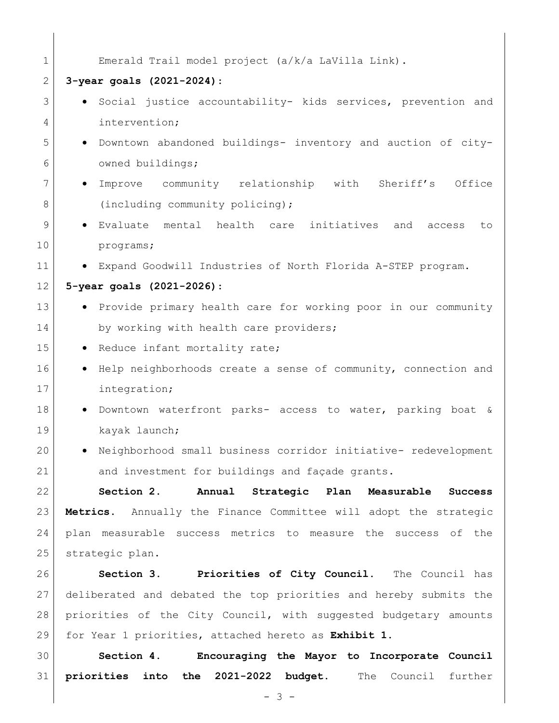| $\mathbf 1$  | Emerald Trail model project (a/k/a LaVilla Link).                       |
|--------------|-------------------------------------------------------------------------|
| $\mathbf{2}$ | $3$ -year goals $(2021 - 2024)$ :                                       |
| 3            | Social justice accountability- kids services, prevention and            |
| 4            | intervention;                                                           |
| 5            | · Downtown abandoned buildings- inventory and auction of city-          |
| 6            | owned buildings;                                                        |
| 7            | Improve community relationship with Sheriff's<br>Office<br>$\bullet$    |
| 8            | (including community policing);                                         |
| 9            | Evaluate mental health care initiatives and<br>access<br>to             |
| 10           | programs;                                                               |
| 11           | • Expand Goodwill Industries of North Florida A-STEP program.           |
| 12           | 5-year goals (2021-2026):                                               |
| 13           | • Provide primary health care for working poor in our community         |
| 14           | by working with health care providers;                                  |
| 15           | . Reduce infant mortality rate;                                         |
| 16           | Help neighborhoods create a sense of community, connection and          |
| 17           | integration;                                                            |
| 18           | Downtown waterfront parks- access to water, parking boat &<br>$\bullet$ |
| 19           | kayak launch;                                                           |
| 20           | Neighborhood small business corridor initiative- redevelopment          |
| 21           | and investment for buildings and façade grants.                         |
| 22           | Annual Strategic Plan Measurable Success<br>Section 2.                  |
| 23           | Metrics. Annually the Finance Committee will adopt the strategic        |
| 24           | plan measurable success metrics to measure the success of the           |
| 25           | strategic plan.                                                         |
| 26           | Section 3. Priorities of City Council. The Council has                  |
| 27           | deliberated and debated the top priorities and hereby submits the       |
| 28           | priorities of the City Council, with suggested budgetary amounts        |
| 29           | for Year 1 priorities, attached hereto as Exhibit 1.                    |
| 30           | Section 4.<br>Encouraging the Mayor to Incorporate Council              |
| 31           | priorities into the 2021-2022 budget.<br>The Council further            |